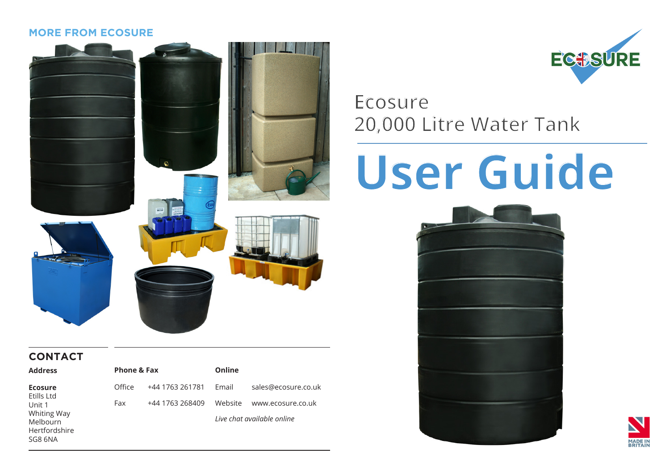#### **MORE FROM ECOSURE**



#### **CONTACT**

| <b>Address</b>                                      | <b>Phone &amp; Fax</b> |                 | Online                     |                     |
|-----------------------------------------------------|------------------------|-----------------|----------------------------|---------------------|
| <b>Ecosure</b><br>Etills Ltd                        | Office                 | +44 1763 261781 | Fmail                      | sales@ecosure.co.uk |
| Unit 1                                              | Fax                    | +44 1763 268409 | Website                    | www.ecosure.co.uk   |
| Whiting Way<br>Melbourn<br>Hertfordshire<br>SG8 6NA |                        |                 | Live chat available online |                     |



# **Ecosure 20,000 Litre Water Tank**

# **User Guide**